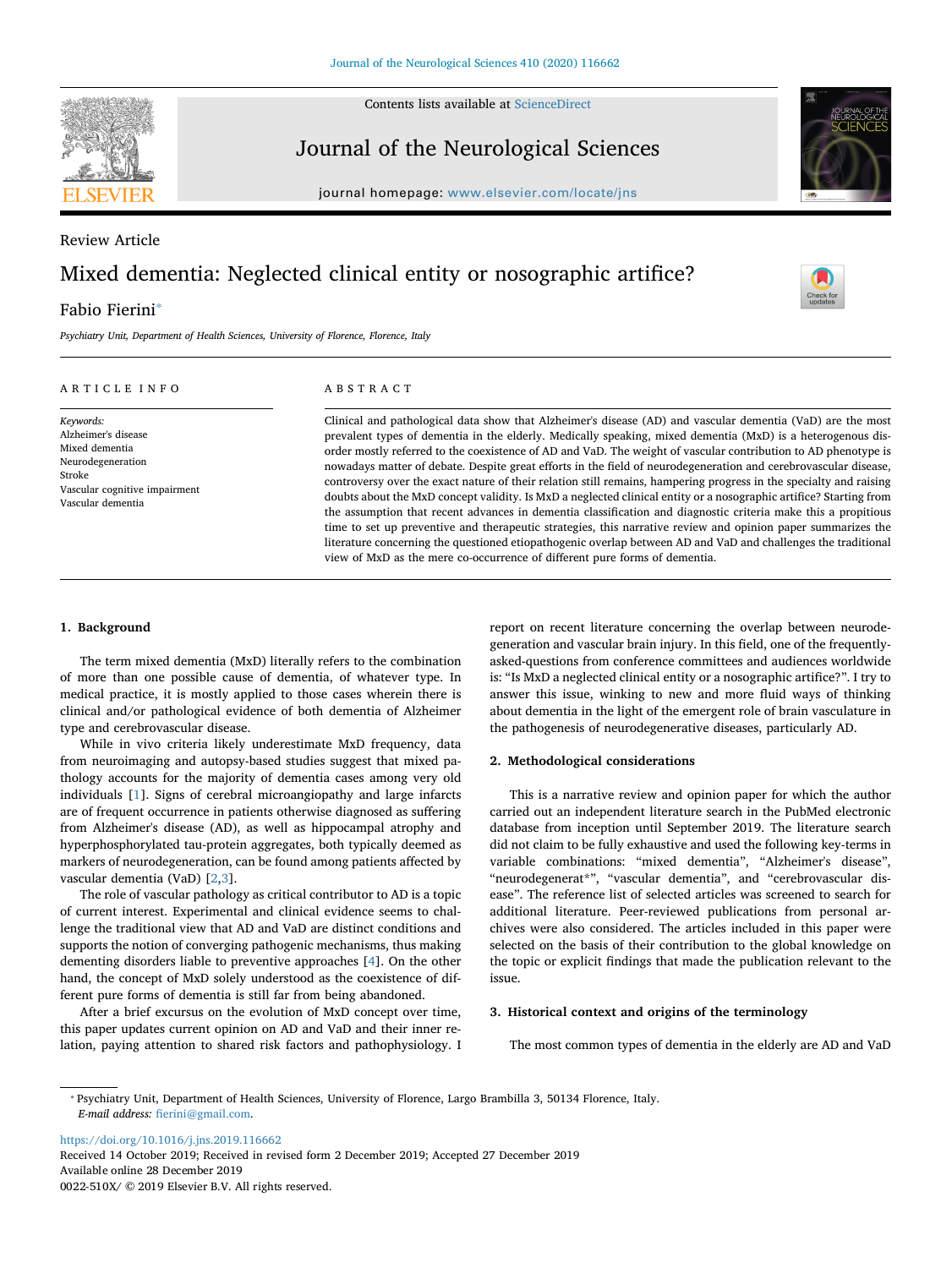Contents lists available at [ScienceDirect](http://www.sciencedirect.com/science/journal/0022510X)

# Journal of the Neurological Sciences

journal homepage: [www.elsevier.com/locate/jns](https://www.elsevier.com/locate/jns)



 $\frac{N}{2}$ 

# Review Article Mixed dementia: Neglected clinical entity or nosographic artifice?

# Fabio Fierini<sup>®</sup>

*Psychiatry Unit, Department of Health Sciences, University of Florence, Florence, Italy*

### ARTICLE INFO

*Keywords:* Alzheimer's disease Mixed dementia Neurodegeneration Stroke Vascular cognitive impairment Vascular dementia

## ABSTRACT

Clinical and pathological data show that Alzheimer's disease (AD) and vascular dementia (VaD) are the most prevalent types of dementia in the elderly. Medically speaking, mixed dementia (MxD) is a heterogenous disorder mostly referred to the coexistence of AD and VaD. The weight of vascular contribution to AD phenotype is nowadays matter of debate. Despite great efforts in the field of neurodegeneration and cerebrovascular disease, controversy over the exact nature of their relation still remains, hampering progress in the specialty and raising doubts about the MxD concept validity. Is MxD a neglected clinical entity or a nosographic artifice? Starting from the assumption that recent advances in dementia classification and diagnostic criteria make this a propitious time to set up preventive and therapeutic strategies, this narrative review and opinion paper summarizes the literature concerning the questioned etiopathogenic overlap between AD and VaD and challenges the traditional view of MxD as the mere co-occurrence of different pure forms of dementia.

#### **1. Background**

The term mixed dementia (MxD) literally refers to the combination of more than one possible cause of dementia, of whatever type. In medical practice, it is mostly applied to those cases wherein there is clinical and/or pathological evidence of both dementia of Alzheimer type and cerebrovascular disease.

While in vivo criteria likely underestimate MxD frequency, data from neuroimaging and autopsy-based studies suggest that mixed pathology accounts for the majority of dementia cases among very old individuals [[1](#page-4-0)]. Signs of cerebral microangiopathy and large infarcts are of frequent occurrence in patients otherwise diagnosed as suffering from Alzheimer's disease (AD), as well as hippocampal atrophy and hyperphosphorylated tau-protein aggregates, both typically deemed as markers of neurodegeneration, can be found among patients affected by vascular dementia (VaD) [[2](#page-4-1),[3](#page-4-2)].

The role of vascular pathology as critical contributor to AD is a topic of current interest. Experimental and clinical evidence seems to challenge the traditional view that AD and VaD are distinct conditions and supports the notion of converging pathogenic mechanisms, thus making dementing disorders liable to preventive approaches [\[4\]](#page-4-3). On the other hand, the concept of MxD solely understood as the coexistence of different pure forms of dementia is still far from being abandoned.

After a brief excursus on the evolution of MxD concept over time, this paper updates current opinion on AD and VaD and their inner relation, paying attention to shared risk factors and pathophysiology. I

report on recent literature concerning the overlap between neurodegeneration and vascular brain injury. In this field, one of the frequentlyasked-questions from conference committees and audiences worldwide is: "Is MxD a neglected clinical entity or a nosographic artifice?". I try to answer this issue, winking to new and more fluid ways of thinking about dementia in the light of the emergent role of brain vasculature in the pathogenesis of neurodegenerative diseases, particularly AD.

#### **2. Methodological considerations**

This is a narrative review and opinion paper for which the author carried out an independent literature search in the PubMed electronic database from inception until September 2019. The literature search did not claim to be fully exhaustive and used the following key-terms in variable combinations: "mixed dementia", "Alzheimer's disease", "neurodegenerat\*", "vascular dementia", and "cerebrovascular disease". The reference list of selected articles was screened to search for additional literature. Peer-reviewed publications from personal archives were also considered. The articles included in this paper were selected on the basis of their contribution to the global knowledge on the topic or explicit findings that made the publication relevant to the issue.

#### **3. Historical context and origins of the terminology**

The most common types of dementia in the elderly are AD and VaD

<span id="page-0-0"></span>⁎ Psychiatry Unit, Department of Health Sciences, University of Florence, Largo Brambilla 3, 50134 Florence, Italy. *E-mail address:* [fierini@gmail.com.](mailto:fierini@gmail.com)

<https://doi.org/10.1016/j.jns.2019.116662>

Received 14 October 2019; Received in revised form 2 December 2019; Accepted 27 December 2019 Available online 28 December 2019 0022-510X/ © 2019 Elsevier B.V. All rights reserved.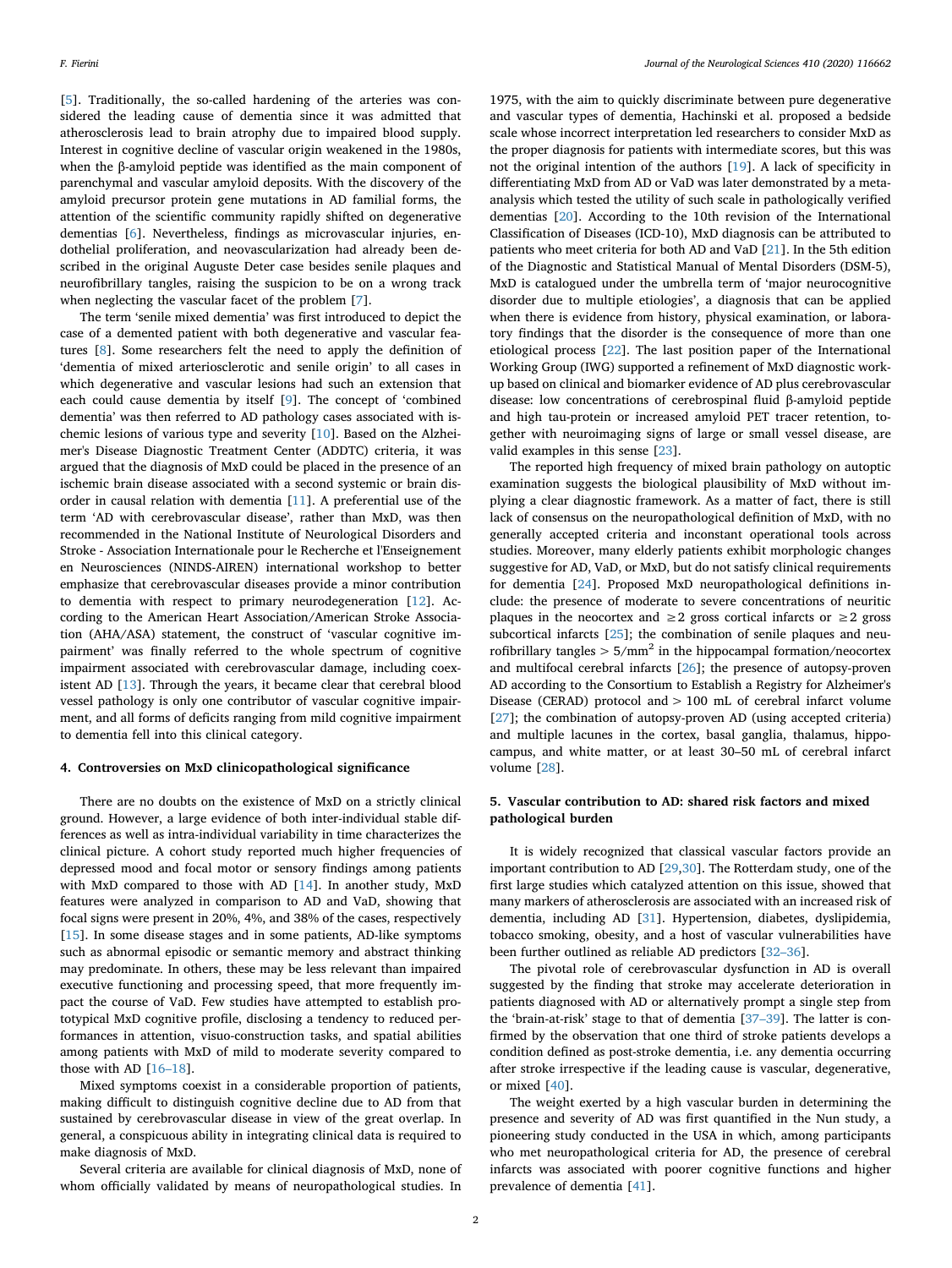[[5](#page-4-4)]. Traditionally, the so-called hardening of the arteries was considered the leading cause of dementia since it was admitted that atherosclerosis lead to brain atrophy due to impaired blood supply. Interest in cognitive decline of vascular origin weakened in the 1980s, when the β-amyloid peptide was identified as the main component of parenchymal and vascular amyloid deposits. With the discovery of the amyloid precursor protein gene mutations in AD familial forms, the attention of the scientific community rapidly shifted on degenerative dementias [\[6\]](#page-4-5). Nevertheless, findings as microvascular injuries, endothelial proliferation, and neovascularization had already been described in the original Auguste Deter case besides senile plaques and neurofibrillary tangles, raising the suspicion to be on a wrong track when neglecting the vascular facet of the problem [[7](#page-4-6)].

The term 'senile mixed dementia' was first introduced to depict the case of a demented patient with both degenerative and vascular features [\[8\]](#page-4-7). Some researchers felt the need to apply the definition of 'dementia of mixed arteriosclerotic and senile origin' to all cases in which degenerative and vascular lesions had such an extension that each could cause dementia by itself [[9](#page-4-8)]. The concept of 'combined dementia' was then referred to AD pathology cases associated with ischemic lesions of various type and severity [[10\]](#page-4-9). Based on the Alzheimer's Disease Diagnostic Treatment Center (ADDTC) criteria, it was argued that the diagnosis of MxD could be placed in the presence of an ischemic brain disease associated with a second systemic or brain disorder in causal relation with dementia [[11\]](#page-4-10). A preferential use of the term 'AD with cerebrovascular disease', rather than MxD, was then recommended in the National Institute of Neurological Disorders and Stroke - Association Internationale pour le Recherche et l'Enseignement en Neurosciences (NINDS-AIREN) international workshop to better emphasize that cerebrovascular diseases provide a minor contribution to dementia with respect to primary neurodegeneration [[12\]](#page-4-11). According to the American Heart Association/American Stroke Association (AHA/ASA) statement, the construct of 'vascular cognitive impairment' was finally referred to the whole spectrum of cognitive impairment associated with cerebrovascular damage, including coexistent AD [[13\]](#page-4-12). Through the years, it became clear that cerebral blood vessel pathology is only one contributor of vascular cognitive impairment, and all forms of deficits ranging from mild cognitive impairment to dementia fell into this clinical category.

#### **4. Controversies on MxD clinicopathological significance**

There are no doubts on the existence of MxD on a strictly clinical ground. However, a large evidence of both inter-individual stable differences as well as intra-individual variability in time characterizes the clinical picture. A cohort study reported much higher frequencies of depressed mood and focal motor or sensory findings among patients with MxD compared to those with AD [[14\]](#page-4-13). In another study, MxD features were analyzed in comparison to AD and VaD, showing that focal signs were present in 20%, 4%, and 38% of the cases, respectively [[15\]](#page-4-14). In some disease stages and in some patients, AD-like symptoms such as abnormal episodic or semantic memory and abstract thinking may predominate. In others, these may be less relevant than impaired executive functioning and processing speed, that more frequently impact the course of VaD. Few studies have attempted to establish prototypical MxD cognitive profile, disclosing a tendency to reduced performances in attention, visuo-construction tasks, and spatial abilities among patients with MxD of mild to moderate severity compared to those with AD [[16–18](#page-4-15)].

Mixed symptoms coexist in a considerable proportion of patients, making difficult to distinguish cognitive decline due to AD from that sustained by cerebrovascular disease in view of the great overlap. In general, a conspicuous ability in integrating clinical data is required to make diagnosis of MxD.

Several criteria are available for clinical diagnosis of MxD, none of whom officially validated by means of neuropathological studies. In

1975, with the aim to quickly discriminate between pure degenerative and vascular types of dementia, Hachinski et al. proposed a bedside scale whose incorrect interpretation led researchers to consider MxD as the proper diagnosis for patients with intermediate scores, but this was not the original intention of the authors [\[19](#page-4-16)]. A lack of specificity in differentiating MxD from AD or VaD was later demonstrated by a metaanalysis which tested the utility of such scale in pathologically verified dementias [[20\]](#page-4-17). According to the 10th revision of the International Classification of Diseases (ICD-10), MxD diagnosis can be attributed to patients who meet criteria for both AD and VaD [[21\]](#page-4-18). In the 5th edition of the Diagnostic and Statistical Manual of Mental Disorders (DSM-5), MxD is catalogued under the umbrella term of 'major neurocognitive disorder due to multiple etiologies', a diagnosis that can be applied when there is evidence from history, physical examination, or laboratory findings that the disorder is the consequence of more than one etiological process [[22\]](#page-4-19). The last position paper of the International Working Group (IWG) supported a refinement of MxD diagnostic workup based on clinical and biomarker evidence of AD plus cerebrovascular disease: low concentrations of cerebrospinal fluid β-amyloid peptide and high tau-protein or increased amyloid PET tracer retention, together with neuroimaging signs of large or small vessel disease, are valid examples in this sense [\[23\]](#page-4-20).

The reported high frequency of mixed brain pathology on autoptic examination suggests the biological plausibility of MxD without implying a clear diagnostic framework. As a matter of fact, there is still lack of consensus on the neuropathological definition of MxD, with no generally accepted criteria and inconstant operational tools across studies. Moreover, many elderly patients exhibit morphologic changes suggestive for AD, VaD, or MxD, but do not satisfy clinical requirements for dementia [\[24](#page-4-21)]. Proposed MxD neuropathological definitions include: the presence of moderate to severe concentrations of neuritic plaques in the neocortex and  $\geq 2$  gross cortical infarcts or  $\geq 2$  gross subcortical infarcts [[25\]](#page-4-22); the combination of senile plaques and neurofibrillary tangles  $> 5/\text{mm}^2$  in the hippocampal formation/neocortex and multifocal cerebral infarcts [[26\]](#page-4-23); the presence of autopsy-proven AD according to the Consortium to Establish a Registry for Alzheimer's Disease (CERAD) protocol and > 100 mL of cerebral infarct volume [[27\]](#page-4-24); the combination of autopsy-proven AD (using accepted criteria) and multiple lacunes in the cortex, basal ganglia, thalamus, hippocampus, and white matter, or at least 30–50 mL of cerebral infarct volume [[28\]](#page-4-25).

#### **5. Vascular contribution to AD: shared risk factors and mixed pathological burden**

It is widely recognized that classical vascular factors provide an important contribution to AD [[29,](#page-4-26)[30\]](#page-4-27). The Rotterdam study, one of the first large studies which catalyzed attention on this issue, showed that many markers of atherosclerosis are associated with an increased risk of dementia, including AD [[31\]](#page-4-28). Hypertension, diabetes, dyslipidemia, tobacco smoking, obesity, and a host of vascular vulnerabilities have been further outlined as reliable AD predictors [\[32–36](#page-4-29)].

The pivotal role of cerebrovascular dysfunction in AD is overall suggested by the finding that stroke may accelerate deterioration in patients diagnosed with AD or alternatively prompt a single step from the 'brain-at-risk' stage to that of dementia [\[37–39](#page-4-30)]. The latter is confirmed by the observation that one third of stroke patients develops a condition defined as post-stroke dementia, i.e. any dementia occurring after stroke irrespective if the leading cause is vascular, degenerative, or mixed [\[40](#page-4-31)].

The weight exerted by a high vascular burden in determining the presence and severity of AD was first quantified in the Nun study, a pioneering study conducted in the USA in which, among participants who met neuropathological criteria for AD, the presence of cerebral infarcts was associated with poorer cognitive functions and higher prevalence of dementia [[41\]](#page-4-32).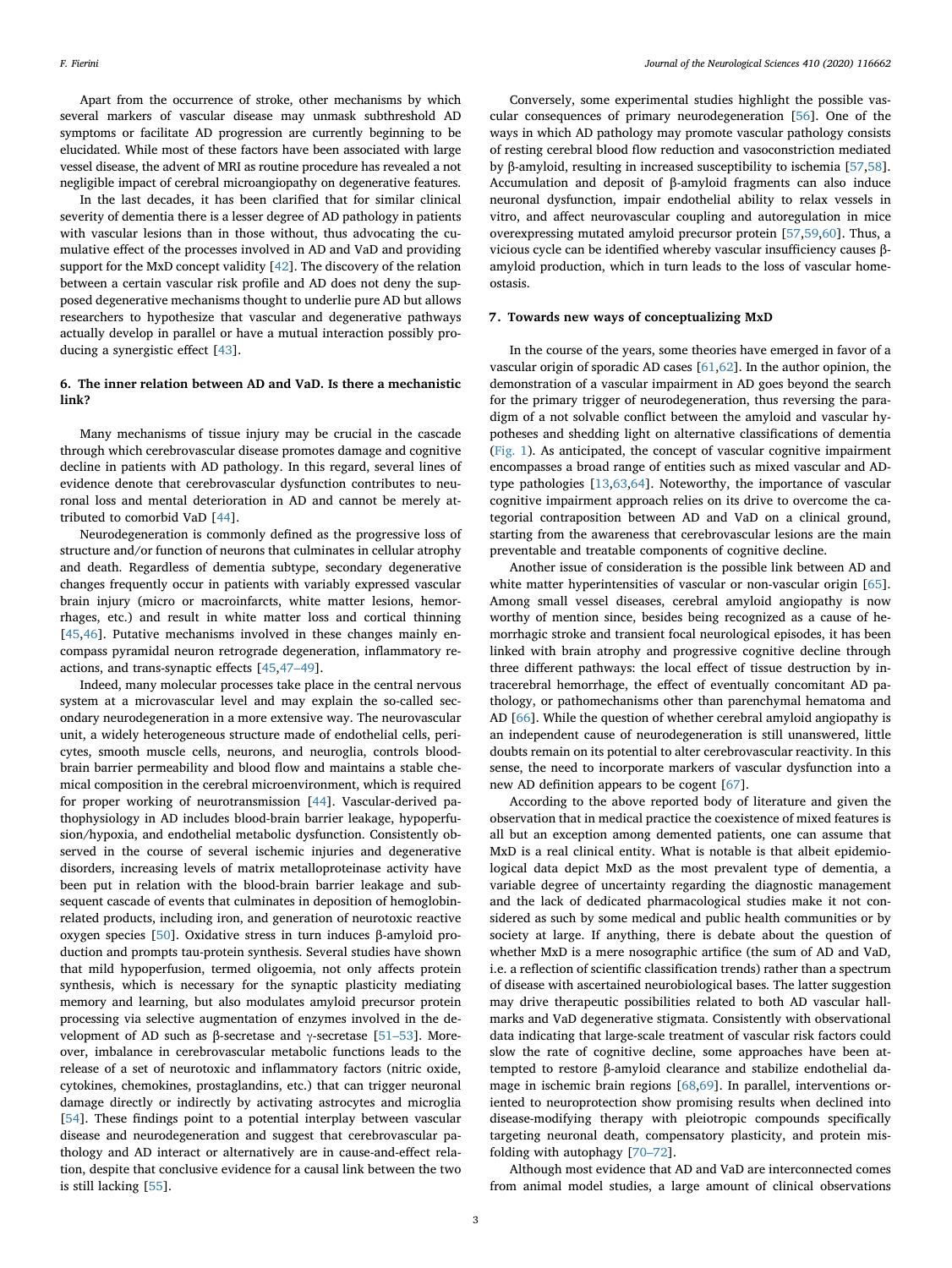Apart from the occurrence of stroke, other mechanisms by which several markers of vascular disease may unmask subthreshold AD symptoms or facilitate AD progression are currently beginning to be elucidated. While most of these factors have been associated with large vessel disease, the advent of MRI as routine procedure has revealed a not negligible impact of cerebral microangiopathy on degenerative features.

In the last decades, it has been clarified that for similar clinical severity of dementia there is a lesser degree of AD pathology in patients with vascular lesions than in those without, thus advocating the cumulative effect of the processes involved in AD and VaD and providing support for the MxD concept validity [[42\]](#page-4-33). The discovery of the relation between a certain vascular risk profile and AD does not deny the supposed degenerative mechanisms thought to underlie pure AD but allows researchers to hypothesize that vascular and degenerative pathways actually develop in parallel or have a mutual interaction possibly producing a synergistic effect [[43](#page-4-34)].

## **6. The inner relation between AD and VaD. Is there a mechanistic link?**

Many mechanisms of tissue injury may be crucial in the cascade through which cerebrovascular disease promotes damage and cognitive decline in patients with AD pathology. In this regard, several lines of evidence denote that cerebrovascular dysfunction contributes to neuronal loss and mental deterioration in AD and cannot be merely attributed to comorbid VaD [\[44](#page-4-35)].

Neurodegeneration is commonly defined as the progressive loss of structure and/or function of neurons that culminates in cellular atrophy and death. Regardless of dementia subtype, secondary degenerative changes frequently occur in patients with variably expressed vascular brain injury (micro or macroinfarcts, white matter lesions, hemorrhages, etc.) and result in white matter loss and cortical thinning [[45](#page-4-36)[,46](#page-4-37)]. Putative mechanisms involved in these changes mainly encompass pyramidal neuron retrograde degeneration, inflammatory reactions, and trans-synaptic effects [[45,](#page-4-36)[47–49\]](#page-5-0).

Indeed, many molecular processes take place in the central nervous system at a microvascular level and may explain the so-called secondary neurodegeneration in a more extensive way. The neurovascular unit, a widely heterogeneous structure made of endothelial cells, pericytes, smooth muscle cells, neurons, and neuroglia, controls bloodbrain barrier permeability and blood flow and maintains a stable chemical composition in the cerebral microenvironment, which is required for proper working of neurotransmission [\[44](#page-4-35)]. Vascular-derived pathophysiology in AD includes blood-brain barrier leakage, hypoperfusion/hypoxia, and endothelial metabolic dysfunction. Consistently observed in the course of several ischemic injuries and degenerative disorders, increasing levels of matrix metalloproteinase activity have been put in relation with the blood-brain barrier leakage and subsequent cascade of events that culminates in deposition of hemoglobinrelated products, including iron, and generation of neurotoxic reactive oxygen species [[50\]](#page-5-1). Oxidative stress in turn induces β-amyloid production and prompts tau-protein synthesis. Several studies have shown that mild hypoperfusion, termed oligoemia, not only affects protein synthesis, which is necessary for the synaptic plasticity mediating memory and learning, but also modulates amyloid precursor protein processing via selective augmentation of enzymes involved in the de-velopment of AD such as β-secretase and γ-secretase [[51–53\]](#page-5-2). Moreover, imbalance in cerebrovascular metabolic functions leads to the release of a set of neurotoxic and inflammatory factors (nitric oxide, cytokines, chemokines, prostaglandins, etc.) that can trigger neuronal damage directly or indirectly by activating astrocytes and microglia [[54\]](#page-5-3). These findings point to a potential interplay between vascular disease and neurodegeneration and suggest that cerebrovascular pathology and AD interact or alternatively are in cause-and-effect relation, despite that conclusive evidence for a causal link between the two is still lacking [\[55](#page-5-4)].

Conversely, some experimental studies highlight the possible vascular consequences of primary neurodegeneration [\[56](#page-5-5)]. One of the ways in which AD pathology may promote vascular pathology consists of resting cerebral blood flow reduction and vasoconstriction mediated by β-amyloid, resulting in increased susceptibility to ischemia [[57,](#page-5-6)[58](#page-5-7)]. Accumulation and deposit of β-amyloid fragments can also induce neuronal dysfunction, impair endothelial ability to relax vessels in vitro, and affect neurovascular coupling and autoregulation in mice overexpressing mutated amyloid precursor protein [\[57](#page-5-6)[,59](#page-5-8),[60\]](#page-5-9). Thus, a vicious cycle can be identified whereby vascular insufficiency causes βamyloid production, which in turn leads to the loss of vascular homeostasis.

#### **7. Towards new ways of conceptualizing MxD**

In the course of the years, some theories have emerged in favor of a vascular origin of sporadic AD cases [[61,](#page-5-10)[62](#page-5-11)]. In the author opinion, the demonstration of a vascular impairment in AD goes beyond the search for the primary trigger of neurodegeneration, thus reversing the paradigm of a not solvable conflict between the amyloid and vascular hypotheses and shedding light on alternative classifications of dementia ([Fig. 1](#page-3-0)). As anticipated, the concept of vascular cognitive impairment encompasses a broad range of entities such as mixed vascular and ADtype pathologies [\[13](#page-4-12),[63,](#page-5-12)[64\]](#page-5-13). Noteworthy, the importance of vascular cognitive impairment approach relies on its drive to overcome the categorial contraposition between AD and VaD on a clinical ground, starting from the awareness that cerebrovascular lesions are the main preventable and treatable components of cognitive decline.

Another issue of consideration is the possible link between AD and white matter hyperintensities of vascular or non-vascular origin [\[65](#page-5-14)]. Among small vessel diseases, cerebral amyloid angiopathy is now worthy of mention since, besides being recognized as a cause of hemorrhagic stroke and transient focal neurological episodes, it has been linked with brain atrophy and progressive cognitive decline through three different pathways: the local effect of tissue destruction by intracerebral hemorrhage, the effect of eventually concomitant AD pathology, or pathomechanisms other than parenchymal hematoma and AD [\[66](#page-5-15)]. While the question of whether cerebral amyloid angiopathy is an independent cause of neurodegeneration is still unanswered, little doubts remain on its potential to alter cerebrovascular reactivity. In this sense, the need to incorporate markers of vascular dysfunction into a new AD definition appears to be cogent [\[67](#page-5-16)].

According to the above reported body of literature and given the observation that in medical practice the coexistence of mixed features is all but an exception among demented patients, one can assume that MxD is a real clinical entity. What is notable is that albeit epidemiological data depict MxD as the most prevalent type of dementia, a variable degree of uncertainty regarding the diagnostic management and the lack of dedicated pharmacological studies make it not considered as such by some medical and public health communities or by society at large. If anything, there is debate about the question of whether MxD is a mere nosographic artifice (the sum of AD and VaD, i.e. a reflection of scientific classification trends) rather than a spectrum of disease with ascertained neurobiological bases. The latter suggestion may drive therapeutic possibilities related to both AD vascular hallmarks and VaD degenerative stigmata. Consistently with observational data indicating that large-scale treatment of vascular risk factors could slow the rate of cognitive decline, some approaches have been attempted to restore β-amyloid clearance and stabilize endothelial damage in ischemic brain regions [[68,](#page-5-17)[69\]](#page-5-18). In parallel, interventions oriented to neuroprotection show promising results when declined into disease-modifying therapy with pleiotropic compounds specifically targeting neuronal death, compensatory plasticity, and protein misfolding with autophagy [[70–72\]](#page-5-19).

Although most evidence that AD and VaD are interconnected comes from animal model studies, a large amount of clinical observations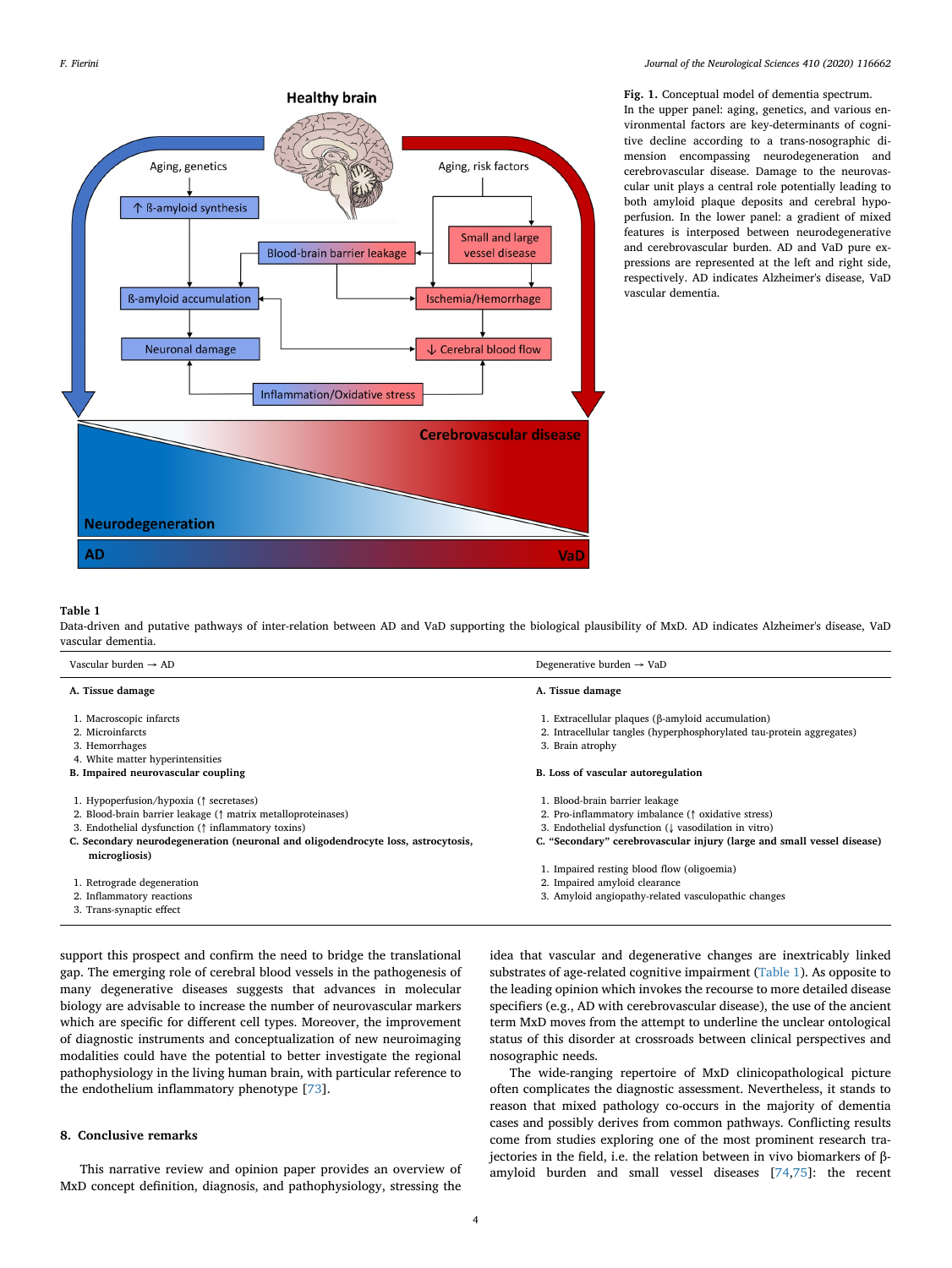<span id="page-3-0"></span>

#### **Fig. 1.** Conceptual model of dementia spectrum. In the upper panel: aging, genetics, and various environmental factors are key-determinants of cognitive decline according to a trans-nosographic dimension encompassing neurodegeneration and cerebrovascular disease. Damage to the neurovascular unit plays a central role potentially leading to both amyloid plaque deposits and cerebral hypoperfusion. In the lower panel: a gradient of mixed features is interposed between neurodegenerative and cerebrovascular burden. AD and VaD pure expressions are represented at the left and right side, respectively. AD indicates Alzheimer's disease, VaD vascular dementia.

#### <span id="page-3-1"></span>**Table 1**

Data-driven and putative pathways of inter-relation between AD and VaD supporting the biological plausibility of MxD. AD indicates Alzheimer's disease, VaD vascular dementia.

| Vascular burden $\rightarrow$ AD                                                                  | Degenerative burden $\rightarrow$ VaD                                  |
|---------------------------------------------------------------------------------------------------|------------------------------------------------------------------------|
| A. Tissue damage                                                                                  | A. Tissue damage                                                       |
| 1. Macroscopic infarcts                                                                           | 1. Extracellular plaques ( $\beta$ -amyloid accumulation)              |
| 2. Microinfarcts                                                                                  | 2. Intracellular tangles (hyperphosphorylated tau-protein aggregates)  |
| 3. Hemorrhages                                                                                    | 3. Brain atrophy                                                       |
| 4. White matter hyperintensities                                                                  |                                                                        |
| B. Impaired neurovascular coupling                                                                | B. Loss of vascular autoregulation                                     |
|                                                                                                   |                                                                        |
| 1. Hypoperfusion/hypoxia († secretases)                                                           | 1. Blood-brain barrier leakage                                         |
| 2. Blood-brain barrier leakage ( $\uparrow$ matrix metalloproteinases)                            | 2. Pro-inflammatory imbalance ( $\uparrow$ oxidative stress)           |
| 3. Endothelial dysfunction ( $\uparrow$ inflammatory toxins)                                      | 3. Endothelial dysfunction ( $\downarrow$ vasodilation in vitro)       |
| C. Secondary neurodegeneration (neuronal and oligodendrocyte loss, astrocytosis,<br>microgliosis) | C. "Secondary" cerebrovascular injury (large and small vessel disease) |
|                                                                                                   | 1. Impaired resting blood flow (oligoemia)                             |
| 1. Retrograde degeneration                                                                        | 2. Impaired amyloid clearance                                          |
| 2. Inflammatory reactions                                                                         | 3. Amyloid angiopathy-related vasculopathic changes                    |
| 3. Trans-synaptic effect                                                                          |                                                                        |

support this prospect and confirm the need to bridge the translational gap. The emerging role of cerebral blood vessels in the pathogenesis of many degenerative diseases suggests that advances in molecular biology are advisable to increase the number of neurovascular markers which are specific for different cell types. Moreover, the improvement of diagnostic instruments and conceptualization of new neuroimaging modalities could have the potential to better investigate the regional pathophysiology in the living human brain, with particular reference to the endothelium inflammatory phenotype [\[73](#page-5-20)].

### **8. Conclusive remarks**

This narrative review and opinion paper provides an overview of MxD concept definition, diagnosis, and pathophysiology, stressing the

idea that vascular and degenerative changes are inextricably linked substrates of age-related cognitive impairment ([Table 1\)](#page-3-1). As opposite to the leading opinion which invokes the recourse to more detailed disease specifiers (e.g., AD with cerebrovascular disease), the use of the ancient term MxD moves from the attempt to underline the unclear ontological status of this disorder at crossroads between clinical perspectives and nosographic needs.

The wide-ranging repertoire of MxD clinicopathological picture often complicates the diagnostic assessment. Nevertheless, it stands to reason that mixed pathology co-occurs in the majority of dementia cases and possibly derives from common pathways. Conflicting results come from studies exploring one of the most prominent research trajectories in the field, i.e. the relation between in vivo biomarkers of βamyloid burden and small vessel diseases [\[74](#page-5-21)[,75](#page-5-22)]: the recent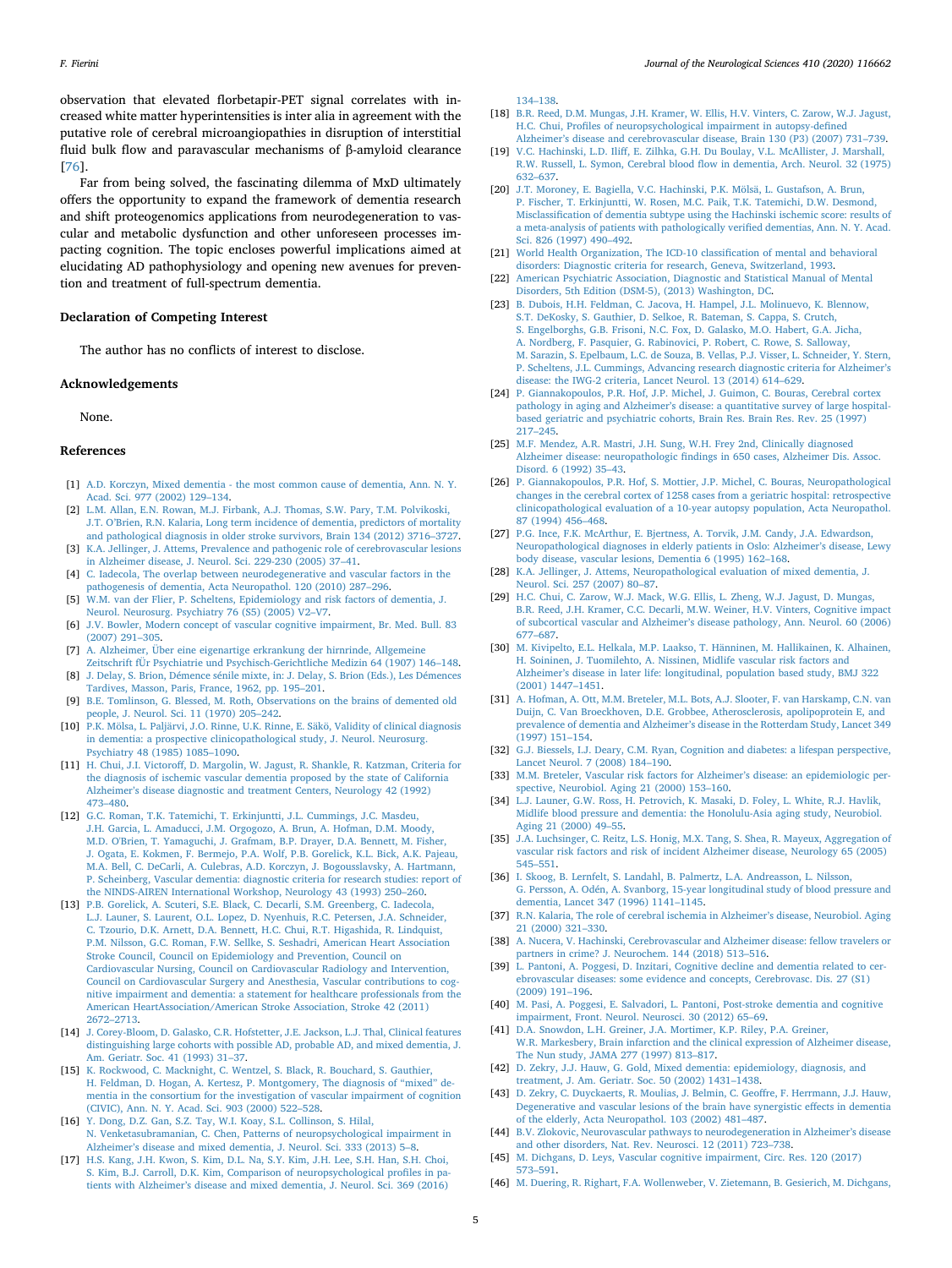observation that elevated florbetapir-PET signal correlates with increased white matter hyperintensities is inter alia in agreement with the putative role of cerebral microangiopathies in disruption of interstitial fluid bulk flow and paravascular mechanisms of β-amyloid clearance [[76\]](#page-5-23).

Far from being solved, the fascinating dilemma of MxD ultimately offers the opportunity to expand the framework of dementia research and shift proteogenomics applications from neurodegeneration to vascular and metabolic dysfunction and other unforeseen processes impacting cognition. The topic encloses powerful implications aimed at elucidating AD pathophysiology and opening new avenues for prevention and treatment of full-spectrum dementia.

#### **Declaration of Competing Interest**

The author has no conflicts of interest to disclose.

#### **Acknowledgements**

None.

#### **References**

- <span id="page-4-0"></span>[1] [A.D. Korczyn, Mixed dementia - the most common cause of dementia, Ann. N. Y.](http://refhub.elsevier.com/S0022-510X(19)32427-X/rf0005) [Acad. Sci. 977 \(2002\) 129–134.](http://refhub.elsevier.com/S0022-510X(19)32427-X/rf0005)
- <span id="page-4-1"></span>[2] [L.M. Allan, E.N. Rowan, M.J. Firbank, A.J. Thomas, S.W. Pary, T.M. Polvikoski,](http://refhub.elsevier.com/S0022-510X(19)32427-X/rf0010) [J.T. O'Brien, R.N. Kalaria, Long term incidence of dementia, predictors of mortality](http://refhub.elsevier.com/S0022-510X(19)32427-X/rf0010) [and pathological diagnosis in older stroke survivors, Brain 134 \(2012\) 3716–3727.](http://refhub.elsevier.com/S0022-510X(19)32427-X/rf0010)
- <span id="page-4-2"></span>[3] [K.A. Jellinger, J. Attems, Prevalence and pathogenic role of cerebrovascular lesions](http://refhub.elsevier.com/S0022-510X(19)32427-X/rf0015) [in Alzheimer disease, J. Neurol. Sci. 229-230 \(2005\) 37–41.](http://refhub.elsevier.com/S0022-510X(19)32427-X/rf0015) [4] [C. Iadecola, The overlap between neurodegenerative and vascular factors in the](http://refhub.elsevier.com/S0022-510X(19)32427-X/rf0020)
- <span id="page-4-3"></span>[pathogenesis of dementia, Acta Neuropathol. 120 \(2010\) 287–296.](http://refhub.elsevier.com/S0022-510X(19)32427-X/rf0020)
- <span id="page-4-4"></span>[5] [W.M. van der Flier, P. Scheltens, Epidemiology and risk factors of dementia, J.](http://refhub.elsevier.com/S0022-510X(19)32427-X/rf0025) [Neurol. Neurosurg. Psychiatry 76 \(S5\) \(2005\) V2–V7.](http://refhub.elsevier.com/S0022-510X(19)32427-X/rf0025)
- <span id="page-4-5"></span>[6] [J.V. Bowler, Modern concept of vascular cognitive impairment, Br. Med. Bull. 83](http://refhub.elsevier.com/S0022-510X(19)32427-X/rf0030) [\(2007\) 291–305.](http://refhub.elsevier.com/S0022-510X(19)32427-X/rf0030)
- <span id="page-4-6"></span>[7] [A. Alzheimer, Über eine eigenartige erkrankung der hirnrinde, Allgemeine](http://refhub.elsevier.com/S0022-510X(19)32427-X/rf0035)
- <span id="page-4-7"></span>[Zeitschrift fÜr Psychiatrie und Psychisch-Gerichtliche Medizin 64 \(1907\) 146–148.](http://refhub.elsevier.com/S0022-510X(19)32427-X/rf0035) [8] [J. Delay, S. Brion, Démence sénile mixte, in: J. Delay, S. Brion \(Eds.\), Les Démences](http://refhub.elsevier.com/S0022-510X(19)32427-X/rf0040) [Tardives, Masson, Paris, France, 1962, pp. 195–201.](http://refhub.elsevier.com/S0022-510X(19)32427-X/rf0040)
- <span id="page-4-8"></span>[9] [B.E. Tomlinson, G. Blessed, M. Roth, Observations on the brains of demented old](http://refhub.elsevier.com/S0022-510X(19)32427-X/rf0045) [people, J. Neurol. Sci. 11 \(1970\) 205–242.](http://refhub.elsevier.com/S0022-510X(19)32427-X/rf0045)
- <span id="page-4-9"></span>[10] [P.K. Mölsa, L. Paljärvi, J.O. Rinne, U.K. Rinne, E. Säkö, Validity of clinical diagnosis](http://refhub.elsevier.com/S0022-510X(19)32427-X/rf0050) [in dementia: a prospective clinicopathological study, J. Neurol. Neurosurg.](http://refhub.elsevier.com/S0022-510X(19)32427-X/rf0050) [Psychiatry 48 \(1985\) 1085–1090.](http://refhub.elsevier.com/S0022-510X(19)32427-X/rf0050)
- <span id="page-4-10"></span>[11] [H. Chui, J.I. Victoroff, D. Margolin, W. Jagust, R. Shankle, R. Katzman, Criteria for](http://refhub.elsevier.com/S0022-510X(19)32427-X/rf0055) [the diagnosis of ischemic vascular dementia proposed by the state of California](http://refhub.elsevier.com/S0022-510X(19)32427-X/rf0055) [Alzheimer's disease diagnostic and treatment Centers, Neurology 42 \(1992\)](http://refhub.elsevier.com/S0022-510X(19)32427-X/rf0055) [473–480.](http://refhub.elsevier.com/S0022-510X(19)32427-X/rf0055)
- <span id="page-4-11"></span>[12] [G.C. Roman, T.K. Tatemichi, T. Erkinjuntti, J.L. Cummings, J.C. Masdeu,](http://refhub.elsevier.com/S0022-510X(19)32427-X/rf0060) [J.H. Garcia, L. Amaducci, J.M. Orgogozo, A. Brun, A. Hofman, D.M. Moody,](http://refhub.elsevier.com/S0022-510X(19)32427-X/rf0060) [M.D. O'Brien, T. Yamaguchi, J. Grafmam, B.P. Drayer, D.A. Bennett, M. Fisher,](http://refhub.elsevier.com/S0022-510X(19)32427-X/rf0060) [J. Ogata, E. Kokmen, F. Bermejo, P.A. Wolf, P.B. Gorelick, K.L. Bick, A.K. Pajeau,](http://refhub.elsevier.com/S0022-510X(19)32427-X/rf0060) [M.A. Bell, C. DeCarli, A. Culebras, A.D. Korczyn, J. Bogousslavsky, A. Hartmann,](http://refhub.elsevier.com/S0022-510X(19)32427-X/rf0060) [P. Scheinberg, Vascular dementia: diagnostic criteria for research studies: report of](http://refhub.elsevier.com/S0022-510X(19)32427-X/rf0060) [the NINDS-AIREN International Workshop, Neurology 43 \(1993\) 250–260.](http://refhub.elsevier.com/S0022-510X(19)32427-X/rf0060)
- <span id="page-4-12"></span>[13] [P.B. Gorelick, A. Scuteri, S.E. Black, C. Decarli, S.M. Greenberg, C. Iadecola,](http://refhub.elsevier.com/S0022-510X(19)32427-X/rf0065) [L.J. Launer, S. Laurent, O.L. Lopez, D. Nyenhuis, R.C. Petersen, J.A. Schneider,](http://refhub.elsevier.com/S0022-510X(19)32427-X/rf0065) [C. Tzourio, D.K. Arnett, D.A. Bennett, H.C. Chui, R.T. Higashida, R. Lindquist,](http://refhub.elsevier.com/S0022-510X(19)32427-X/rf0065) [P.M. Nilsson, G.C. Roman, F.W. Sellke, S. Seshadri, American Heart Association](http://refhub.elsevier.com/S0022-510X(19)32427-X/rf0065) [Stroke Council, Council on Epidemiology and Prevention, Council on](http://refhub.elsevier.com/S0022-510X(19)32427-X/rf0065) [Cardiovascular Nursing, Council on Cardiovascular Radiology and Intervention,](http://refhub.elsevier.com/S0022-510X(19)32427-X/rf0065) [Council on Cardiovascular Surgery and Anesthesia, Vascular contributions to cog](http://refhub.elsevier.com/S0022-510X(19)32427-X/rf0065)[nitive impairment and dementia: a statement for healthcare professionals from the](http://refhub.elsevier.com/S0022-510X(19)32427-X/rf0065) [American HeartAssociation/American Stroke Association, Stroke 42 \(2011\)](http://refhub.elsevier.com/S0022-510X(19)32427-X/rf0065) [2672–2713.](http://refhub.elsevier.com/S0022-510X(19)32427-X/rf0065)
- <span id="page-4-13"></span>[14] [J. Corey-Bloom, D. Galasko, C.R. Hofstetter, J.E. Jackson, L.J. Thal, Clinical features](http://refhub.elsevier.com/S0022-510X(19)32427-X/rf0070) [distinguishing large cohorts with possible AD, probable AD, and mixed dementia, J.](http://refhub.elsevier.com/S0022-510X(19)32427-X/rf0070) [Am. Geriatr. Soc. 41 \(1993\) 31–37.](http://refhub.elsevier.com/S0022-510X(19)32427-X/rf0070)
- <span id="page-4-14"></span>[15] [K. Rockwood, C. Macknight, C. Wentzel, S. Black, R. Bouchard, S. Gauthier,](http://refhub.elsevier.com/S0022-510X(19)32427-X/rf0075) [H. Feldman, D. Hogan, A. Kertesz, P. Montgomery, The diagnosis of "mixed" de](http://refhub.elsevier.com/S0022-510X(19)32427-X/rf0075)[mentia in the consortium for the investigation of vascular impairment of cognition](http://refhub.elsevier.com/S0022-510X(19)32427-X/rf0075) [\(CIVIC\), Ann. N. Y. Acad. Sci. 903 \(2000\) 522–528.](http://refhub.elsevier.com/S0022-510X(19)32427-X/rf0075)
- <span id="page-4-15"></span>[16] [Y. Dong, D.Z. Gan, S.Z. Tay, W.I. Koay, S.L. Collinson, S. Hilal,](http://refhub.elsevier.com/S0022-510X(19)32427-X/rf0080) [N. Venketasubramanian, C. Chen, Patterns of neuropsychological impairment in](http://refhub.elsevier.com/S0022-510X(19)32427-X/rf0080) [Alzheimer's disease and mixed dementia, J. Neurol. Sci. 333 \(2013\) 5–8.](http://refhub.elsevier.com/S0022-510X(19)32427-X/rf0080)
- [17] [H.S. Kang, J.H. Kwon, S. Kim, D.L. Na, S.Y. Kim, J.H. Lee, S.H. Han, S.H. Choi,](http://refhub.elsevier.com/S0022-510X(19)32427-X/rf0085) [S. Kim, B.J. Carroll, D.K. Kim, Comparison of neuropsychological profiles in pa](http://refhub.elsevier.com/S0022-510X(19)32427-X/rf0085)[tients with Alzheimer's disease and mixed dementia, J. Neurol. Sci. 369 \(2016\)](http://refhub.elsevier.com/S0022-510X(19)32427-X/rf0085)

[134–138.](http://refhub.elsevier.com/S0022-510X(19)32427-X/rf0085)

- [18] [B.R. Reed, D.M. Mungas, J.H. Kramer, W. Ellis, H.V. Vinters, C. Zarow, W.J. Jagust,](http://refhub.elsevier.com/S0022-510X(19)32427-X/rf0090) [H.C. Chui, Profiles of neuropsychological impairment in autopsy-defined](http://refhub.elsevier.com/S0022-510X(19)32427-X/rf0090) [Alzheimer's disease and cerebrovascular disease, Brain 130 \(P3\) \(2007\) 731–739.](http://refhub.elsevier.com/S0022-510X(19)32427-X/rf0090)
- <span id="page-4-16"></span>[19] [V.C. Hachinski, L.D. Iliff, E. Zilhka, G.H. Du Boulay, V.L. McAllister, J. Marshall,](http://refhub.elsevier.com/S0022-510X(19)32427-X/rf0095) [R.W. Russell, L. Symon, Cerebral blood flow in dementia, Arch. Neurol. 32 \(1975\)](http://refhub.elsevier.com/S0022-510X(19)32427-X/rf0095) [632–637.](http://refhub.elsevier.com/S0022-510X(19)32427-X/rf0095)
- <span id="page-4-17"></span>[20] [J.T. Moroney, E. Bagiella, V.C. Hachinski, P.K. Mölsä, L. Gustafson, A. Brun,](http://refhub.elsevier.com/S0022-510X(19)32427-X/rf0100) [P. Fischer, T. Erkinjuntti, W. Rosen, M.C. Paik, T.K. Tatemichi, D.W. Desmond,](http://refhub.elsevier.com/S0022-510X(19)32427-X/rf0100) [Misclassification of dementia subtype using the Hachinski ischemic score: results of](http://refhub.elsevier.com/S0022-510X(19)32427-X/rf0100) [a meta-analysis of patients with pathologically verified dementias, Ann. N. Y. Acad.](http://refhub.elsevier.com/S0022-510X(19)32427-X/rf0100) [Sci. 826 \(1997\) 490–492.](http://refhub.elsevier.com/S0022-510X(19)32427-X/rf0100)
- <span id="page-4-18"></span>[21] [World Health Organization, The ICD-10 classification of mental and behavioral](http://refhub.elsevier.com/S0022-510X(19)32427-X/rf0105) [disorders: Diagnostic criteria for research, Geneva, Switzerland, 1993.](http://refhub.elsevier.com/S0022-510X(19)32427-X/rf0105)
- <span id="page-4-19"></span>[22] [American Psychiatric Association, Diagnostic and Statistical Manual of Mental](http://refhub.elsevier.com/S0022-510X(19)32427-X/rf0110) [Disorders, 5th Edition \(DSM-5\), \(2013\) Washington, DC.](http://refhub.elsevier.com/S0022-510X(19)32427-X/rf0110)
- <span id="page-4-20"></span>[23] [B. Dubois, H.H. Feldman, C. Jacova, H. Hampel, J.L. Molinuevo, K. Blennow,](http://refhub.elsevier.com/S0022-510X(19)32427-X/rf0115) [S.T. DeKosky, S. Gauthier, D. Selkoe, R. Bateman, S. Cappa, S. Crutch,](http://refhub.elsevier.com/S0022-510X(19)32427-X/rf0115) [S. Engelborghs, G.B. Frisoni, N.C. Fox, D. Galasko, M.O. Habert, G.A. Jicha,](http://refhub.elsevier.com/S0022-510X(19)32427-X/rf0115) [A. Nordberg, F. Pasquier, G. Rabinovici, P. Robert, C. Rowe, S. Salloway,](http://refhub.elsevier.com/S0022-510X(19)32427-X/rf0115) [M. Sarazin, S. Epelbaum, L.C. de Souza, B. Vellas, P.J. Visser, L. Schneider, Y. Stern,](http://refhub.elsevier.com/S0022-510X(19)32427-X/rf0115) [P. Scheltens, J.L. Cummings, Advancing research diagnostic criteria for Alzheimer's](http://refhub.elsevier.com/S0022-510X(19)32427-X/rf0115) [disease: the IWG-2 criteria, Lancet Neurol. 13 \(2014\) 614–629.](http://refhub.elsevier.com/S0022-510X(19)32427-X/rf0115)
- <span id="page-4-21"></span>[24] [P. Giannakopoulos, P.R. Hof, J.P. Michel, J. Guimon, C. Bouras, Cerebral cortex](http://refhub.elsevier.com/S0022-510X(19)32427-X/rf0120) [pathology in aging and Alzheimer's disease: a quantitative survey of large hospital](http://refhub.elsevier.com/S0022-510X(19)32427-X/rf0120)[based geriatric and psychiatric cohorts, Brain Res. Brain Res. Rev. 25 \(1997\)](http://refhub.elsevier.com/S0022-510X(19)32427-X/rf0120) [217–245.](http://refhub.elsevier.com/S0022-510X(19)32427-X/rf0120)
- <span id="page-4-22"></span>[25] [M.F. Mendez, A.R. Mastri, J.H. Sung, W.H. Frey 2nd, Clinically diagnosed](http://refhub.elsevier.com/S0022-510X(19)32427-X/rf0125) [Alzheimer disease: neuropathologic findings in 650 cases, Alzheimer Dis. Assoc.](http://refhub.elsevier.com/S0022-510X(19)32427-X/rf0125) [Disord. 6 \(1992\) 35–43.](http://refhub.elsevier.com/S0022-510X(19)32427-X/rf0125)
- <span id="page-4-23"></span>[26] [P. Giannakopoulos, P.R. Hof, S. Mottier, J.P. Michel, C. Bouras, Neuropathological](http://refhub.elsevier.com/S0022-510X(19)32427-X/rf0130) [changes in the cerebral cortex of 1258 cases from a geriatric hospital: retrospective](http://refhub.elsevier.com/S0022-510X(19)32427-X/rf0130) [clinicopathological evaluation of a 10-year autopsy population, Acta Neuropathol.](http://refhub.elsevier.com/S0022-510X(19)32427-X/rf0130) [87 \(1994\) 456–468.](http://refhub.elsevier.com/S0022-510X(19)32427-X/rf0130)
- <span id="page-4-24"></span>[27] [P.G. Ince, F.K. McArthur, E. Bjertness, A. Torvik, J.M. Candy, J.A. Edwardson,](http://refhub.elsevier.com/S0022-510X(19)32427-X/rf0135) [Neuropathological diagnoses in elderly patients in Oslo: Alzheimer's disease, Lewy](http://refhub.elsevier.com/S0022-510X(19)32427-X/rf0135) [body disease, vascular lesions, Dementia 6 \(1995\) 162–168.](http://refhub.elsevier.com/S0022-510X(19)32427-X/rf0135)
- <span id="page-4-25"></span>[28] [K.A. Jellinger, J. Attems, Neuropathological evaluation of mixed dementia, J.](http://refhub.elsevier.com/S0022-510X(19)32427-X/rf0140) [Neurol. Sci. 257 \(2007\) 80–87.](http://refhub.elsevier.com/S0022-510X(19)32427-X/rf0140)
- <span id="page-4-26"></span>[29] [H.C. Chui, C. Zarow, W.J. Mack, W.G. Ellis, L. Zheng, W.J. Jagust, D. Mungas,](http://refhub.elsevier.com/S0022-510X(19)32427-X/rf0145) [B.R. Reed, J.H. Kramer, C.C. Decarli, M.W. Weiner, H.V. Vinters, Cognitive impact](http://refhub.elsevier.com/S0022-510X(19)32427-X/rf0145) [of subcortical vascular and Alzheimer's disease pathology, Ann. Neurol. 60 \(2006\)](http://refhub.elsevier.com/S0022-510X(19)32427-X/rf0145) [677–687.](http://refhub.elsevier.com/S0022-510X(19)32427-X/rf0145)
- <span id="page-4-27"></span>[30] [M. Kivipelto, E.L. Helkala, M.P. Laakso, T. Hänninen, M. Hallikainen, K. Alhainen,](http://refhub.elsevier.com/S0022-510X(19)32427-X/rf0150) [H. Soininen, J. Tuomilehto, A. Nissinen, Midlife vascular risk factors and](http://refhub.elsevier.com/S0022-510X(19)32427-X/rf0150) [Alzheimer's disease in later life: longitudinal, population based study, BMJ 322](http://refhub.elsevier.com/S0022-510X(19)32427-X/rf0150) [\(2001\) 1447–1451.](http://refhub.elsevier.com/S0022-510X(19)32427-X/rf0150)
- <span id="page-4-28"></span>[31] [A. Hofman, A. Ott, M.M. Breteler, M.L. Bots, A.J. Slooter, F. van Harskamp, C.N. van](http://refhub.elsevier.com/S0022-510X(19)32427-X/rf0155) [Duijn, C. Van Broeckhoven, D.E. Grobbee, Atherosclerosis, apolipoprotein E, and](http://refhub.elsevier.com/S0022-510X(19)32427-X/rf0155) [prevalence of dementia and Alzheimer's disease in the Rotterdam Study, Lancet 349](http://refhub.elsevier.com/S0022-510X(19)32427-X/rf0155) [\(1997\) 151–154.](http://refhub.elsevier.com/S0022-510X(19)32427-X/rf0155)
- <span id="page-4-29"></span>[32] [G.J. Biessels, I.J. Deary, C.M. Ryan, Cognition and diabetes: a lifespan perspective,](http://refhub.elsevier.com/S0022-510X(19)32427-X/rf0160) [Lancet Neurol. 7 \(2008\) 184–190.](http://refhub.elsevier.com/S0022-510X(19)32427-X/rf0160)
- [33] [M.M. Breteler, Vascular risk factors for Alzheimer's disease: an epidemiologic per](http://refhub.elsevier.com/S0022-510X(19)32427-X/rf0165)[spective, Neurobiol. Aging 21 \(2000\) 153–160.](http://refhub.elsevier.com/S0022-510X(19)32427-X/rf0165)
- [34] [L.J. Launer, G.W. Ross, H. Petrovich, K. Masaki, D. Foley, L. White, R.J. Havlik,](http://refhub.elsevier.com/S0022-510X(19)32427-X/rf0170) [Midlife blood pressure and dementia: the Honolulu-Asia aging study, Neurobiol.](http://refhub.elsevier.com/S0022-510X(19)32427-X/rf0170) [Aging 21 \(2000\) 49–55.](http://refhub.elsevier.com/S0022-510X(19)32427-X/rf0170)
- [35] [J.A. Luchsinger, C. Reitz, L.S. Honig, M.X. Tang, S. Shea, R. Mayeux, Aggregation of](http://refhub.elsevier.com/S0022-510X(19)32427-X/rf0175) [vascular risk factors and risk of incident Alzheimer disease, Neurology 65 \(2005\)](http://refhub.elsevier.com/S0022-510X(19)32427-X/rf0175) [545–551.](http://refhub.elsevier.com/S0022-510X(19)32427-X/rf0175)
- [36] [I. Skoog, B. Lernfelt, S. Landahl, B. Palmertz, L.A. Andreasson, L. Nilsson,](http://refhub.elsevier.com/S0022-510X(19)32427-X/rf0180) [G. Persson, A. Odén, A. Svanborg, 15-year longitudinal study of blood pressure and](http://refhub.elsevier.com/S0022-510X(19)32427-X/rf0180) [dementia, Lancet 347 \(1996\) 1141–1145.](http://refhub.elsevier.com/S0022-510X(19)32427-X/rf0180)
- <span id="page-4-30"></span>[37] [R.N. Kalaria, The role of cerebral ischemia in Alzheimer's disease, Neurobiol. Aging](http://refhub.elsevier.com/S0022-510X(19)32427-X/rf0185) [21 \(2000\) 321–330.](http://refhub.elsevier.com/S0022-510X(19)32427-X/rf0185)
- [38] [A. Nucera, V. Hachinski, Cerebrovascular and Alzheimer disease: fellow travelers or](http://refhub.elsevier.com/S0022-510X(19)32427-X/rf0190) [partners in crime? J. Neurochem. 144 \(2018\) 513–516.](http://refhub.elsevier.com/S0022-510X(19)32427-X/rf0190)
- [39] [L. Pantoni, A. Poggesi, D. Inzitari, Cognitive decline and dementia related to cer](http://refhub.elsevier.com/S0022-510X(19)32427-X/rf0195)[ebrovascular diseases: some evidence and concepts, Cerebrovasc. Dis. 27 \(S1\)](http://refhub.elsevier.com/S0022-510X(19)32427-X/rf0195) [\(2009\) 191–196.](http://refhub.elsevier.com/S0022-510X(19)32427-X/rf0195)
- <span id="page-4-31"></span>[40] [M. Pasi, A. Poggesi, E. Salvadori, L. Pantoni, Post-stroke dementia and cognitive](http://refhub.elsevier.com/S0022-510X(19)32427-X/rf0200) impairment, Front. Neurol. Neurosci. 30 (2012) 65-69.
- <span id="page-4-32"></span>[41] [D.A. Snowdon, L.H. Greiner, J.A. Mortimer, K.P. Riley, P.A. Greiner,](http://refhub.elsevier.com/S0022-510X(19)32427-X/rf0205) [W.R. Markesbery, Brain infarction and the clinical expression of Alzheimer disease,](http://refhub.elsevier.com/S0022-510X(19)32427-X/rf0205) [The Nun study, JAMA 277 \(1997\) 813–817.](http://refhub.elsevier.com/S0022-510X(19)32427-X/rf0205)
- <span id="page-4-33"></span>[42] [D. Zekry, J.J. Hauw, G. Gold, Mixed dementia: epidemiology, diagnosis, and](http://refhub.elsevier.com/S0022-510X(19)32427-X/rf0210) [treatment, J. Am. Geriatr. Soc. 50 \(2002\) 1431–1438.](http://refhub.elsevier.com/S0022-510X(19)32427-X/rf0210)
- <span id="page-4-34"></span>[43] [D. Zekry, C. Duyckaerts, R. Moulias, J. Belmin, C. Geoffre, F. Herrmann, J.J. Hauw,](http://refhub.elsevier.com/S0022-510X(19)32427-X/rf0215) [Degenerative and vascular lesions of the brain have synergistic effects in dementia](http://refhub.elsevier.com/S0022-510X(19)32427-X/rf0215) [of the elderly, Acta Neuropathol. 103 \(2002\) 481–487.](http://refhub.elsevier.com/S0022-510X(19)32427-X/rf0215)
- <span id="page-4-35"></span>[44] [B.V. Zlokovic, Neurovascular pathways to neurodegeneration in Alzheimer's disease](http://refhub.elsevier.com/S0022-510X(19)32427-X/rf0220) [and other disorders, Nat. Rev. Neurosci. 12 \(2011\) 723–738.](http://refhub.elsevier.com/S0022-510X(19)32427-X/rf0220)
- <span id="page-4-36"></span>[45] [M. Dichgans, D. Leys, Vascular cognitive impairment, Circ. Res. 120 \(2017\)](http://refhub.elsevier.com/S0022-510X(19)32427-X/rf0225) [573–591.](http://refhub.elsevier.com/S0022-510X(19)32427-X/rf0225)
- <span id="page-4-37"></span>[46] [M. Duering, R. Righart, F.A. Wollenweber, V. Zietemann, B. Gesierich, M. Dichgans,](http://refhub.elsevier.com/S0022-510X(19)32427-X/rf0230)